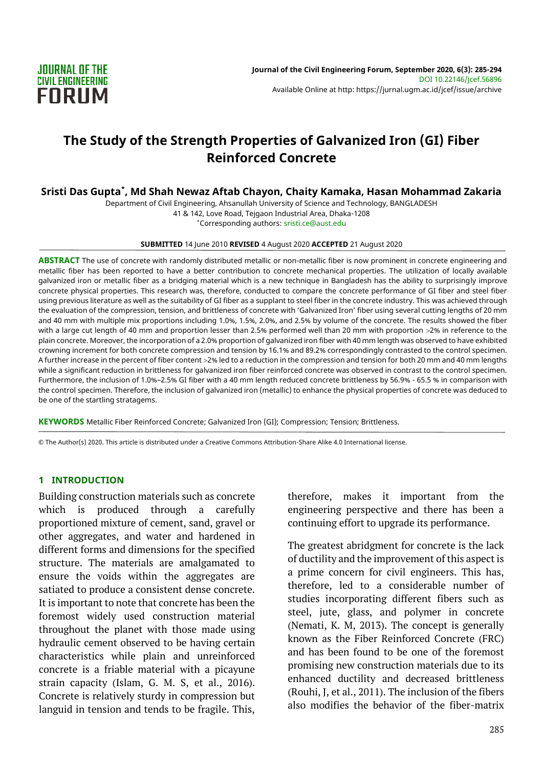

# **The Study of the Strength Properties of Galvanized Iron (GI) Fiber Reinforced Concrete**

# **Sristi Das Gupta\* , Md Shah Newaz Aftab Chayon, Chaity Kamaka, Hasan Mohammad Zakaria**

Department of Civil Engineering, Ahsanullah University of Science and Technology, BANGLADESH 41 & 142, Love Road, Tejgaon Industrial Area, Dhaka-1208

\*Corresponding authors: sristi.ce@aust.edu

#### **SUBMITTED** 14 June 2010 **REVISED** 4 August 2020 **ACCEPTED** 21 August 2020

**ABSTRACT** The use of concrete with randomly distributed metallic or non-metallic fiber is now prominent in concrete engineering and metallic fiber has been reported to have a better contribution to concrete mechanical properties. The utilization of locally available galvanized iron or metallic fiber as a bridging material which is a new technique in Bangladesh has the ability to surprisingly improve concrete physical properties. This research was, therefore, conducted to compare the concrete performance of GI fiber and steel fiber using previous literature as well as the suitability of GI fiber as a supplant to steel fiber in the concrete industry. This was achieved through the evaluation of the compression, tension, and brittleness of concrete with 'Galvanized Iron' fiber using several cutting lengths of 20 mm and 40 mm with multiple mix proportions including 1.0%, 1.5%, 2.0%, and 2.5% by volume of the concrete. The results showed the fiber with a large cut length of 40 mm and proportion lesser than 2.5% performed well than 20 mm with proportion >2% in reference to the plain concrete. Moreover, the incorporation of a 2.0% proportion of galvanized iron fiber with 40 mm length was observed to have exhibited crowning increment for both concrete compression and tension by 16.1% and 89.2% correspondingly contrasted to the control specimen. A further increase in the percent of fiber content 2% led to a reduction in the compression and tension for both 20 mm and 40 mm lengths while a significant reduction in brittleness for galvanized iron fiber reinforced concrete was observed in contrast to the control specimen. Furthermore, the inclusion of 1.0%–2.5% GI fiber with a 40 mm length reduced concrete brittleness by 56.9% - 65.5 % in comparison with the control specimen. Therefore, the inclusion of galvanized iron (metallic) to enhance the physical properties of concrete was deduced to be one of the startling stratagems.

**KEYWORDS** Metallic Fiber Reinforced Concrete; Galvanized Iron (GI); Compression; Tension; Brittleness.

© The Author(s) 2020. This article is distributed under a Creative Commons Attribution-Share Alike 4.0 International license.

#### **1 INTRODUCTION**

Building construction materials such as concrete which is produced through a carefully proportioned mixture of cement, sand, gravel or other aggregates, and water and hardened in different forms and dimensions for the specified structure. The materials are amalgamated to ensure the voids within the aggregates are satiated to produce a consistent dense concrete. It is important to note that concrete has been the foremost widely used construction material throughout the planet with those made using hydraulic cement observed to be having certain characteristics while plain and unreinforced concrete is a friable material with a picayune strain capacity (Islam, G. M. S, et al., 2016). Concrete is relatively sturdy in compression but languid in tension and tends to be fragile. This,

therefore, makes it important from the engineering perspective and there has been a continuing effort to upgrade its performance.

The greatest abridgment for concrete is the lack of ductility and the improvement of this aspect is a prime concern for civil engineers. This has, therefore, led to a considerable number of studies incorporating different fibers such as steel, jute, glass, and polymer in concrete (Nemati, K. M, 2013). The concept is generally known as the Fiber Reinforced Concrete (FRC) and has been found to be one of the foremost promising new construction materials due to its enhanced ductility and decreased brittleness (Rouhi, J, et al., 2011). The inclusion of the fibers also modifies the behavior of the fiber-matrix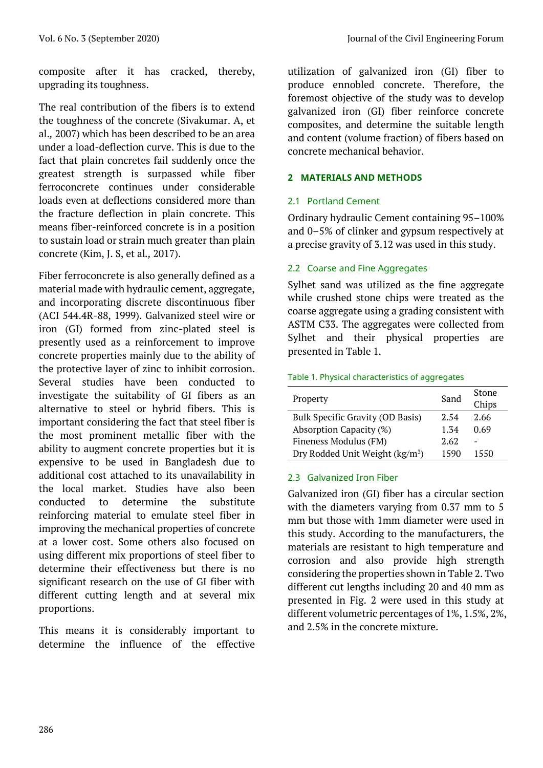composite after it has cracked, thereby, upgrading its toughness.

The real contribution of the fibers is to extend the toughness of the concrete (Sivakumar. A, et al.*,* 2007) which has been described to be an area under a load-deflection curve. This is due to the fact that plain concretes fail suddenly once the greatest strength is surpassed while fiber ferroconcrete continues under considerable loads even at deflections considered more than the fracture deflection in plain concrete. This means fiber-reinforced concrete is in a position to sustain load or strain much greater than plain concrete (Kim, J. S, et al*.,* 2017).

Fiber ferroconcrete is also generally defined as a material made with hydraulic cement, aggregate, and incorporating discrete discontinuous fiber (ACI 544.4R-88, 1999). Galvanized steel wire or iron (GI) formed from zinc-plated steel is presently used as a reinforcement to improve concrete properties mainly due to the ability of the protective layer of zinc to inhibit corrosion. Several studies have been conducted to investigate the suitability of GI fibers as an alternative to steel or hybrid fibers. This is important considering the fact that steel fiber is the most prominent metallic fiber with the ability to augment concrete properties but it is expensive to be used in Bangladesh due to additional cost attached to its unavailability in the local market. Studies have also been conducted to determine the substitute reinforcing material to emulate steel fiber in improving the mechanical properties of concrete at a lower cost. Some others also focused on using different mix proportions of steel fiber to determine their effectiveness but there is no significant research on the use of GI fiber with different cutting length and at several mix proportions.

This means it is considerably important to determine the influence of the effective

utilization of galvanized iron (GI) fiber to produce ennobled concrete. Therefore, the foremost objective of the study was to develop galvanized iron (GI) fiber reinforce concrete composites, and determine the suitable length and content (volume fraction) of fibers based on concrete mechanical behavior.

# **2 MATERIALS AND METHODS**

# 2.1 Portland Cement

Ordinary hydraulic Cement containing 95–100% and 0–5% of clinker and gypsum respectively at a precise gravity of 3.12 was used in this study.

# 2.2 Coarse and Fine Aggregates

Sylhet sand was utilized as the fine aggregate while crushed stone chips were treated as the coarse aggregate using a grading consistent with ASTM C33. The aggregates were collected from Sylhet and their physical properties are presented in Table 1.

### Table 1. Physical characteristics of aggregates

| Property                                    | Sand | Stone<br>Chips |
|---------------------------------------------|------|----------------|
| Bulk Specific Gravity (OD Basis)            | 2.54 | 2.66           |
| Absorption Capacity (%)                     | 1.34 | 0.69           |
| Fineness Modulus (FM)                       | 2.62 |                |
| Dry Rodded Unit Weight (kg/m <sup>3</sup> ) | 1590 | 1550           |

# 2.3 Galvanized Iron Fiber

Galvanized iron (GI) fiber has a circular section with the diameters varying from 0.37 mm to 5 mm but those with 1mm diameter were used in this study. According to the manufacturers, the materials are resistant to high temperature and corrosion and also provide high strength considering the properties shown in Table 2. Two different cut lengths including 20 and 40 mm as presented in Fig. 2 were used in this study at different volumetric percentages of 1%, 1.5%, 2%, and 2.5% in the concrete mixture.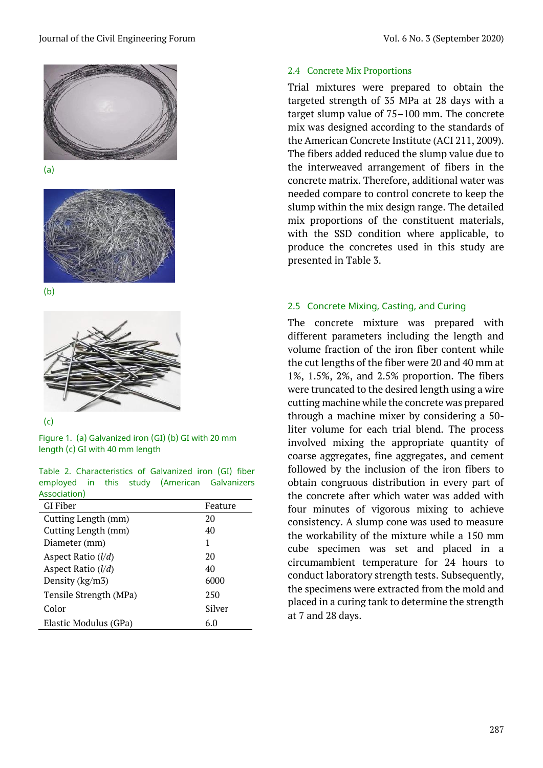



(b)



(c)

Figure 1. (a) Galvanized iron (GI) (b) GI with 20 mm length (c) GI with 40 mm length

|              |  |  | Table 2. Characteristics of Galvanized iron (GI) fiber |
|--------------|--|--|--------------------------------------------------------|
|              |  |  | employed in this study (American Galvanizers           |
| Association) |  |  |                                                        |

| GI Fiber               | Feature |
|------------------------|---------|
| Cutting Length (mm)    | 20      |
| Cutting Length (mm)    | 40      |
| Diameter (mm)          | 1       |
| Aspect Ratio $(l/d)$   | 20      |
| Aspect Ratio $(l/d)$   | 40      |
| Density (kg/m3)        | 6000    |
| Tensile Strength (MPa) | 250     |
| Color                  | Silver  |
| Elastic Modulus (GPa)  | 6.0     |

# 2.4 Concrete Mix Proportions

Trial mixtures were prepared to obtain the targeted strength of 35 MPa at 28 days with a target slump value of 75–100 mm. The concrete mix was designed according to the standards of the American Concrete Institute (ACI 211, 2009). The fibers added reduced the slump value due to the interweaved arrangement of fibers in the concrete matrix. Therefore, additional water was needed compare to control concrete to keep the slump within the mix design range. The detailed mix proportions of the constituent materials, with the SSD condition where applicable, to produce the concretes used in this study are presented in Table 3.

# 2.5 Concrete Mixing, Casting, and Curing

The concrete mixture was prepared with different parameters including the length and volume fraction of the iron fiber content while the cut lengths of the fiber were 20 and 40 mm at 1%, 1.5%, 2%, and 2.5% proportion. The fibers were truncated to the desired length using a wire cutting machine while the concrete was prepared through a machine mixer by considering a 50 liter volume for each trial blend. The process involved mixing the appropriate quantity of coarse aggregates, fine aggregates, and cement followed by the inclusion of the iron fibers to obtain congruous distribution in every part of the concrete after which water was added with four minutes of vigorous mixing to achieve consistency. A slump cone was used to measure the workability of the mixture while a 150 mm cube specimen was set and placed in a circumambient temperature for 24 hours to conduct laboratory strength tests. Subsequently, the specimens were extracted from the mold and placed in a curing tank to determine the strength at 7 and 28 days.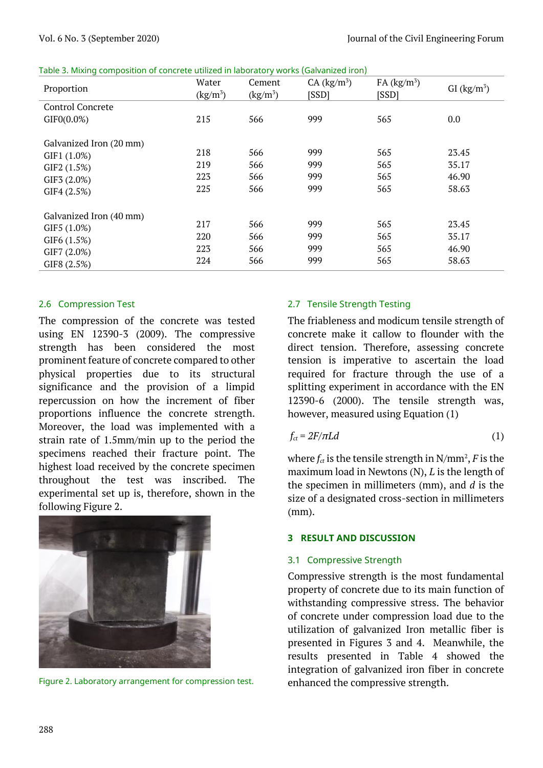| Table 3. Mixing composition of concrete utilized in laboratory works (Galvanized iron) |  |
|----------------------------------------------------------------------------------------|--|
|----------------------------------------------------------------------------------------|--|

| Proportion              | Water<br>$\frac{\text{kg}}{\text{m}^3}$ | Cement<br>$\frac{\text{kg}}{\text{m}^3}$ | CA (kg/m <sup>3</sup> )<br>[SSD] | FA (kg/m <sup>3</sup> )<br>[SSD] | GI $(kg/m^3)$ |
|-------------------------|-----------------------------------------|------------------------------------------|----------------------------------|----------------------------------|---------------|
| <b>Control Concrete</b> |                                         |                                          |                                  |                                  |               |
| GIFO(0.0%)              | 215                                     | 566                                      | 999                              | 565                              | 0.0           |
| Galvanized Iron (20 mm) |                                         |                                          |                                  |                                  |               |
| GIF1 (1.0%)             | 218                                     | 566                                      | 999                              | 565                              | 23.45         |
| GIF2 (1.5%)             | 219                                     | 566                                      | 999                              | 565                              | 35.17         |
| GIF3 (2.0%)             | 223                                     | 566                                      | 999                              | 565                              | 46.90         |
| GIF4 (2.5%)             | 225                                     | 566                                      | 999                              | 565                              | 58.63         |
| Galvanized Iron (40 mm) |                                         |                                          |                                  |                                  |               |
| GIF5 (1.0%)             | 217                                     | 566                                      | 999                              | 565                              | 23.45         |
| GIF6 (1.5%)             | 220                                     | 566                                      | 999                              | 565                              | 35.17         |
| GIF7 (2.0%)             | 223                                     | 566                                      | 999                              | 565                              | 46.90         |
| GIF8 (2.5%)             | 224                                     | 566                                      | 999                              | 565                              | 58.63         |

# 2.6 Compression Test

The compression of the concrete was tested using EN 12390-3 (2009). The compressive strength has been considered the most prominent feature of concrete compared to other physical properties due to its structural significance and the provision of a limpid repercussion on how the increment of fiber proportions influence the concrete strength. Moreover, the load was implemented with a strain rate of 1.5mm/min up to the period the specimens reached their fracture point. The highest load received by the concrete specimen throughout the test was inscribed. The experimental set up is, therefore, shown in the following Figure 2.



Figure 2. Laboratory arrangement for compression test.

# 2.7 Tensile Strength Testing

The friableness and modicum tensile strength of concrete make it callow to flounder with the direct tension. Therefore, assessing concrete tension is imperative to ascertain the load required for fracture through the use of a splitting experiment in accordance with the EN 12390-6 (2000). The tensile strength was, however, measured using Equation (1)

$$
f_{ct} = 2F/\pi L d \tag{1}
$$

where  $f_{ct}$  is the tensile strength in  $N/mm^2$ ,  $F$  is the maximum load in Newtons (N), *L* is the length of the specimen in millimeters (mm), and *d* is the size of a designated cross-section in millimeters (mm).

#### **3 RESULT AND DISCUSSION**

### 3.1 Compressive Strength

Compressive strength is the most fundamental property of concrete due to its main function of withstanding compressive stress. The behavior of concrete under compression load due to the utilization of galvanized Iron metallic fiber is presented in Figures 3 and 4. Meanwhile, the results presented in Table 4 showed the integration of galvanized iron fiber in concrete enhanced the compressive strength.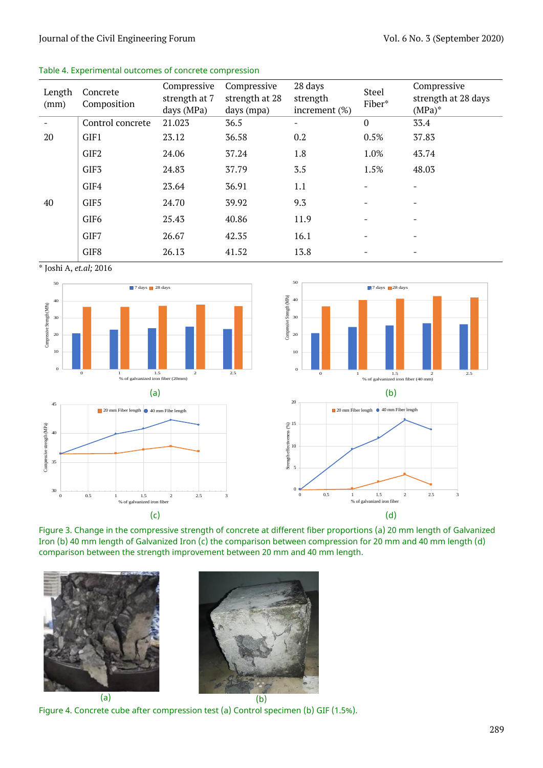#### Journal of the Civil Engineering Forum Vol. 6 No. 3 (September 2020)

#### Table 4. Experimental outcomes of concrete compression

| Length<br>(mm) | Concrete<br>Composition | Compressive<br>strength at 7<br>days (MPa) | Compressive<br>strength at 28<br>days (mpa) | 28 days<br>strength<br>increment $(\%)$ | Steel<br>Fiber*          | Compressive<br>strength at 28 days<br>$(MPa)^*$ |
|----------------|-------------------------|--------------------------------------------|---------------------------------------------|-----------------------------------------|--------------------------|-------------------------------------------------|
|                | Control concrete        | 21.023                                     | 36.5                                        | $\overline{\phantom{0}}$                | $\bf{0}$                 | 33.4                                            |
| 20             | GIF1                    | 23.12                                      | 36.58                                       | 0.2                                     | 0.5%                     | 37.83                                           |
|                | GIF <sub>2</sub>        | 24.06                                      | 37.24                                       | 1.8                                     | 1.0%                     | 43.74                                           |
|                | GIF <sub>3</sub>        | 24.83                                      | 37.79                                       | 3.5                                     | 1.5%                     | 48.03                                           |
|                | GIF4                    | 23.64                                      | 36.91                                       | 1.1                                     |                          | $\overline{\phantom{a}}$                        |
| 40             | GIF5                    | 24.70                                      | 39.92                                       | 9.3                                     | $\overline{\phantom{a}}$ | $\overline{\phantom{a}}$                        |
|                | GIF <sub>6</sub>        | 25.43                                      | 40.86                                       | 11.9                                    | $\overline{\phantom{a}}$ | $\overline{\phantom{a}}$                        |
|                | GIF7                    | 26.67                                      | 42.35                                       | 16.1                                    |                          | $\overline{\phantom{a}}$                        |
|                | GIF8                    | 26.13                                      | 41.52                                       | 13.8                                    |                          | $\overline{\phantom{a}}$                        |

\* Joshi A, *et.al;* 2016







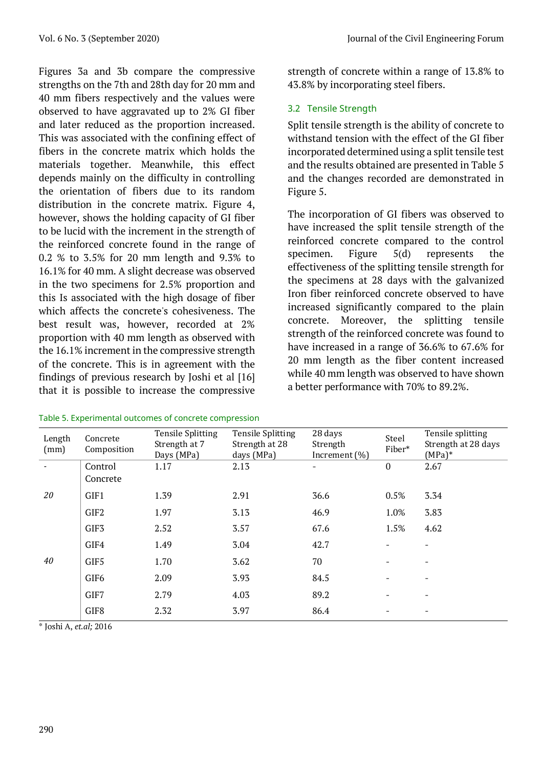Figures 3a and 3b compare the compressive strengths on the 7th and 28th day for 20 mm and 40 mm fibers respectively and the values were observed to have aggravated up to 2% GI fiber and later reduced as the proportion increased. This was associated with the confining effect of fibers in the concrete matrix which holds the materials together. Meanwhile, this effect depends mainly on the difficulty in controlling the orientation of fibers due to its random distribution in the concrete matrix. Figure 4, however, shows the holding capacity of GI fiber to be lucid with the increment in the strength of the reinforced concrete found in the range of 0.2 % to 3.5% for 20 mm length and 9.3% to 16.1% for 40 mm. A slight decrease was observed in the two specimens for 2.5% proportion and this Is associated with the high dosage of fiber which affects the concrete's cohesiveness. The best result was, however, recorded at 2% proportion with 40 mm length as observed with the 16.1% increment in the compressive strength of the concrete. This is in agreement with the findings of previous research by Joshi et al [16] that it is possible to increase the compressive

| Table 5. Experimental outcomes of concrete compression |  |  |  |
|--------------------------------------------------------|--|--|--|
|--------------------------------------------------------|--|--|--|

strength of concrete within a range of 13.8% to 43.8% by incorporating steel fibers.

# 3.2 Tensile Strength

Split tensile strength is the ability of concrete to withstand tension with the effect of the GI fiber incorporated determined using a split tensile test and the results obtained are presented in Table 5 and the changes recorded are demonstrated in Figure 5.

The incorporation of GI fibers was observed to have increased the split tensile strength of the reinforced concrete compared to the control specimen. Figure 5(d) represents the effectiveness of the splitting tensile strength for the specimens at 28 days with the galvanized Iron fiber reinforced concrete observed to have increased significantly compared to the plain concrete. Moreover, the splitting tensile strength of the reinforced concrete was found to have increased in a range of 36.6% to 67.6% for 20 mm length as the fiber content increased while 40 mm length was observed to have shown a better performance with 70% to 89.2%.

| Length<br>(mm) | Concrete<br>Composition | <b>Tensile Splitting</b><br>Strength at 7<br>Days (MPa) | <b>Tensile Splitting</b><br>Strength at 28<br>days (MPa) | 28 days<br>Strength<br>Increment $(\%)$ | Steel<br>Fiber*          | Tensile splitting<br>Strength at 28 days<br>$(MPa)*$ |
|----------------|-------------------------|---------------------------------------------------------|----------------------------------------------------------|-----------------------------------------|--------------------------|------------------------------------------------------|
|                | Control<br>Concrete     | 1.17                                                    | 2.13                                                     |                                         | $\boldsymbol{0}$         | 2.67                                                 |
| 20             | GIF1                    | 1.39                                                    | 2.91                                                     | 36.6                                    | 0.5%                     | 3.34                                                 |
|                | GIF2                    | 1.97                                                    | 3.13                                                     | 46.9                                    | 1.0%                     | 3.83                                                 |
|                | GIF <sub>3</sub>        | 2.52                                                    | 3.57                                                     | 67.6                                    | 1.5%                     | 4.62                                                 |
|                | GIF4                    | 1.49                                                    | 3.04                                                     | 42.7                                    |                          |                                                      |
| 40             | GIF5                    | 1.70                                                    | 3.62                                                     | 70                                      | $\overline{\phantom{0}}$ |                                                      |
|                | GIF <sub>6</sub>        | 2.09                                                    | 3.93                                                     | 84.5                                    |                          |                                                      |
|                | GIF7                    | 2.79                                                    | 4.03                                                     | 89.2                                    | $\overline{\phantom{0}}$ |                                                      |
|                | GIF8                    | 2.32                                                    | 3.97                                                     | 86.4                                    | $\overline{\phantom{0}}$ |                                                      |

\* Joshi A, *et.al;* 2016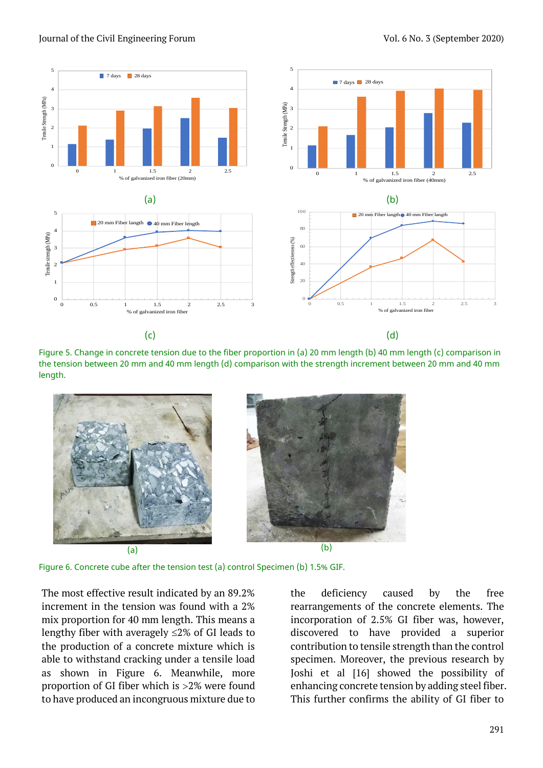

Journal of the Civil Engineering Forum Vol. 6 No. 3 (September 2020)

Figure 5. Change in concrete tension due to the fiber proportion in (a) 20 mm length (b) 40 mm length (c) comparison in the tension between 20 mm and 40 mm length (d) comparison with the strength increment between 20 mm and 40 mm length.



Figure 6. Concrete cube after the tension test (a) control Specimen (b) 1.5% GIF.

The most effective result indicated by an 89.2% increment in the tension was found with a 2% mix proportion for 40 mm length. This means a lengthy fiber with averagely  $\leq$ 2% of GI leads to the production of a concrete mixture which is able to withstand cracking under a tensile load as shown in Figure 6. Meanwhile, more proportion of GI fiber which is 2% were found to have produced an incongruous mixture due to

the deficiency caused by the free rearrangements of the concrete elements. The incorporation of 2.5% GI fiber was, however, discovered to have provided a superior contribution to tensile strength than the control specimen. Moreover, the previous research by Joshi et al [16] showed the possibility of enhancing concrete tension by adding steel fiber. This further confirms the ability of GI fiber to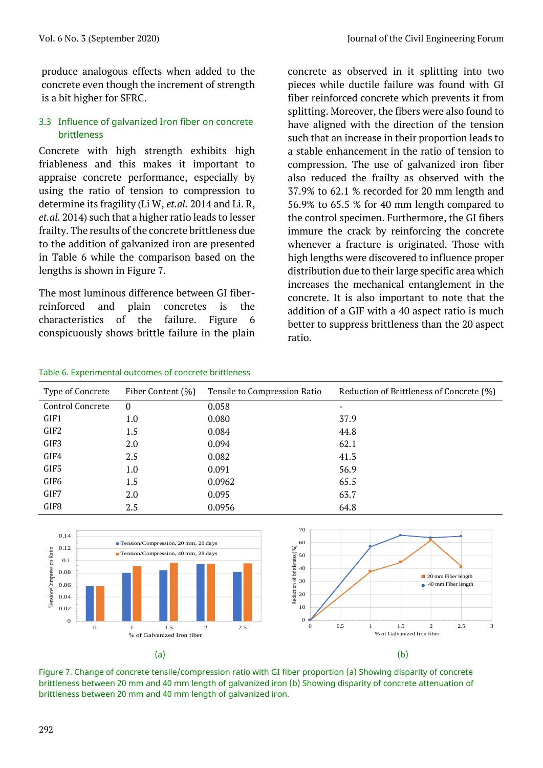produce analogous effects when added to the concrete even though the increment of strength is a bit higher for SFRC.

# 3.3 Influence of galvanized Iron fiber on concrete brittleness

Concrete with high strength exhibits high friableness and this makes it important to appraise concrete performance, especially by using the ratio of tension to compression to determine its fragility (Li W, *et.al.* 2014 and Li. R, *et.al.* 2014) such that a higher ratio leads to lesser frailty. The results of the concrete brittleness due to the addition of galvanized iron are presented in Table 6 while the comparison based on the lengths is shown in Figure 7.

The most luminous difference between GI fiberreinforced and plain concretes is the characteristics of the failure. Figure 6 conspicuously shows brittle failure in the plain concrete as observed in it splitting into two pieces while ductile failure was found with GI fiber reinforced concrete which prevents it from splitting. Moreover, the fibers were also found to have aligned with the direction of the tension such that an increase in their proportion leads to a stable enhancement in the ratio of tension to compression. The use of galvanized iron fiber also reduced the frailty as observed with the 37.9% to 62.1 % recorded for 20 mm length and 56.9% to 65.5 % for 40 mm length compared to the control specimen. Furthermore, the GI fibers immure the crack by reinforcing the concrete whenever a fracture is originated. Those with high lengths were discovered to influence proper distribution due to their large specific area which increases the mechanical entanglement in the concrete. It is also important to note that the addition of a GIF with a 40 aspect ratio is much better to suppress brittleness than the 20 aspect ratio.

#### Table 6. Experimental outcomes of concrete brittleness

| Type of Concrete | Fiber Content (%) | Tensile to Compression Ratio | Reduction of Brittleness of Concrete (%) |
|------------------|-------------------|------------------------------|------------------------------------------|
| Control Concrete | $\bf{0}$          | 0.058                        |                                          |
| GIF1             | 1.0               | 0.080                        | 37.9                                     |
| GIF2             | 1.5               | 0.084                        | 44.8                                     |
| GIF3             | 2.0               | 0.094                        | 62.1                                     |
| GIF4             | 2.5               | 0.082                        | 41.3                                     |
| GIF5             | 1.0               | 0.091                        | 56.9                                     |
| GIF6             | 1.5               | 0.0962                       | 65.5                                     |
| GIF7             | 2.0               | 0.095                        | 63.7                                     |
| GIF8             | 2.5               | 0.0956                       | 64.8                                     |



Figure 7. Change of concrete tensile/compression ratio with GI fiber proportion (a) Showing disparity of concrete brittleness between 20 mm and 40 mm length of galvanized iron (b) Showing disparity of concrete attenuation of brittleness between 20 mm and 40 mm length of galvanized iron.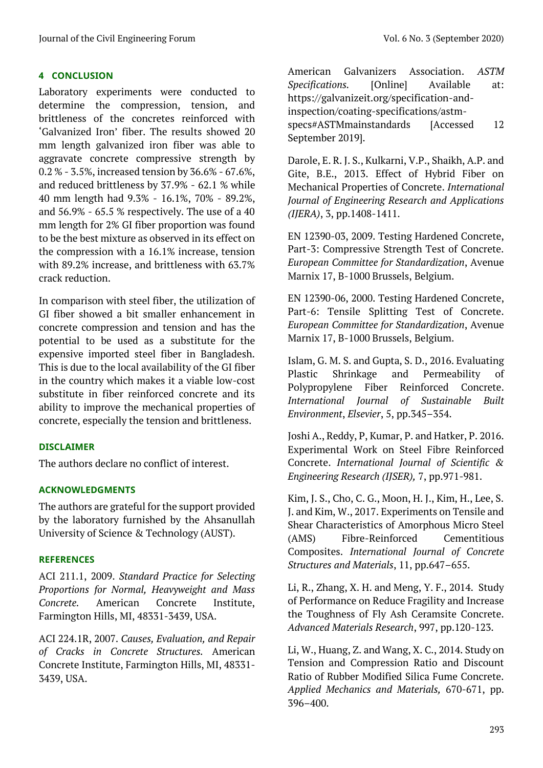# **4 CONCLUSION**

Laboratory experiments were conducted to determine the compression, tension, and brittleness of the concretes reinforced with 'Galvanized Iron' fiber. The results showed 20 mm length galvanized iron fiber was able to aggravate concrete compressive strength by 0.2 % - 3.5%, increased tension by 36.6% - 67.6%, and reduced brittleness by 37.9% - 62.1 % while 40 mm length had 9.3% - 16.1%, 70% - 89.2%, and 56.9% - 65.5 % respectively. The use of a 40 mm length for 2% GI fiber proportion was found to be the best mixture as observed in its effect on the compression with a 16.1% increase, tension with 89.2% increase, and brittleness with 63.7% crack reduction.

In comparison with steel fiber, the utilization of GI fiber showed a bit smaller enhancement in concrete compression and tension and has the potential to be used as a substitute for the expensive imported steel fiber in Bangladesh. This is due to the local availability of the GI fiber in the country which makes it a viable low-cost substitute in fiber reinforced concrete and its ability to improve the mechanical properties of concrete, especially the tension and brittleness.

### **DISCLAIMER**

The authors declare no conflict of interest.

### **ACKNOWLEDGMENTS**

The authors are grateful for the support provided by the laboratory furnished by the Ahsanullah University of Science & Technology (AUST).

### **REFERENCES**

ACI 211.1, 2009. *Standard Practice for Selecting Proportions for Normal, Heavyweight and Mass Concrete.* American Concrete Institute, Farmington Hills, MI, 48331-3439, USA.

ACI 224.1R, 2007. *Causes, Evaluation, and Repair of Cracks in Concrete Structures.* American Concrete Institute, Farmington Hills, MI, 48331- 3439, USA.

American Galvanizers Association. *ASTM Specifications.* [Online] Available at: [https://galvanizeit.org/specification-and](https://galvanizeit.org/specification-and-inspection/coating-specifications/astm-specs#ASTMmainstandards)[inspection/coating-specifications/astm](https://galvanizeit.org/specification-and-inspection/coating-specifications/astm-specs#ASTMmainstandards)[specs#ASTMmainstandards](https://galvanizeit.org/specification-and-inspection/coating-specifications/astm-specs#ASTMmainstandards) [Accessed 12 September 2019].

Darole, E. R. J. S., Kulkarni, V.P., Shaikh, A.P. and Gite, B.E., 2013. Effect of Hybrid Fiber on Mechanical Properties of Concrete. *International Journal of Engineering Research and Applications (IJERA)*, 3, pp.1408-1411.

EN 12390-03, 2009. Testing Hardened Concrete, Part-3: Compressive Strength Test of Concrete. *European Committee for Standardization*, Avenue Marnix 17, B-1000 Brussels, Belgium.

EN 12390-06, 2000. Testing Hardened Concrete, Part-6: Tensile Splitting Test of Concrete. *European Committee for Standardization*, Avenue Marnix 17, B-1000 Brussels, Belgium.

Islam, G. M. S. and Gupta, S. D., 2016. Evaluating Plastic Shrinkage and Permeability of Polypropylene Fiber Reinforced Concrete. *International Journal of Sustainable Built Environment*, *Elsevier*, 5, pp.345–354.

Joshi A., Reddy, P, Kumar, P. and Hatker, P. 2016. Experimental Work on Steel Fibre Reinforced Concrete. *International Journal of Scientific & Engineering Research (IJSER),* 7, pp.971-981.

Kim, J. S., Cho, C. G., Moon, H. J., Kim, H., Lee, S. J. and Kim, W., 2017. Experiments on Tensile and Shear Characteristics of Amorphous Micro Steel (AMS) Fibre-Reinforced Cementitious Composites. *International Journal of Concrete Structures and Materials*, 11, pp.647–655.

Li, R., Zhang, X. H. and Meng, Y. F., 2014. Study of Performance on Reduce Fragility and Increase the Toughness of Fly Ash Ceramsite Concrete. *Advanced Materials Research*, 997, pp.120-123.

Li, W., Huang, Z. and Wang, X. C., 2014. Study on Tension and Compression Ratio and Discount Ratio of Rubber Modified Silica Fume Concrete. *Applied Mechanics and Materials,* 670-671, pp. 396–400.